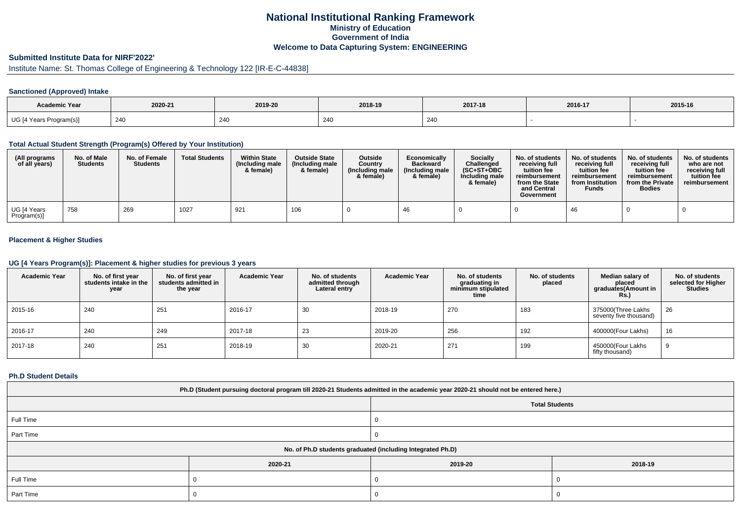# **National Institutional Ranking FrameworkMinistry of Education Government of IndiaWelcome to Data Capturing System: ENGINEERING**

# **Submitted Institute Data for NIRF'2022'**

# Institute Name: St. Thomas College of Engineering & Technology 122 [IR-E-C-44838]

### **Sanctioned (Approved) Intake**

| <b>Academic Year</b>    | 2020-21 | 2019-20 | 2018-19 | 2017-18 | 2016-17 | 2015-16 |
|-------------------------|---------|---------|---------|---------|---------|---------|
| UG [4 Years Program(s)] | 240     | 240     | 240     | 240     |         |         |

#### **Total Actual Student Strength (Program(s) Offered by Your Institution)**

| (All programs<br>of all years) | No. of Male<br><b>Students</b> | No. of Female<br><b>Students</b> | <b>Total Students</b> | <b>Within State</b><br>(Including male)<br>& female) | <b>Outside State</b><br>(Including male<br>& female) | Outside<br>Country<br>(Including male)<br>& female) | Economically<br><b>Backward</b><br>(Including male)<br>& female) | Socially<br>Challenged<br>$(SC+ST+OBC)$<br>Including male<br>& female) | No. of students<br>receivina full<br>tuition fee<br>reimbursement<br>from the State<br>and Central<br>Government | No. of students<br>receiving full<br>tuition fee<br>reimbursement<br>from Institution<br><b>Funds</b> | No. of students<br>receiving full<br>tuition fee<br>reimbursement<br>from the Private<br><b>Bodies</b> | No. of students  <br>who are not<br>receivina full<br>tuition fee<br>reimbursement |
|--------------------------------|--------------------------------|----------------------------------|-----------------------|------------------------------------------------------|------------------------------------------------------|-----------------------------------------------------|------------------------------------------------------------------|------------------------------------------------------------------------|------------------------------------------------------------------------------------------------------------------|-------------------------------------------------------------------------------------------------------|--------------------------------------------------------------------------------------------------------|------------------------------------------------------------------------------------|
| UG [4 Years<br>Program(s)]     | 758                            | 269                              | 1027                  | 921                                                  | 106                                                  |                                                     |                                                                  |                                                                        |                                                                                                                  | -46                                                                                                   |                                                                                                        |                                                                                    |

## **Placement & Higher Studies**

#### **UG [4 Years Program(s)]: Placement & higher studies for previous 3 years**

| <b>Academic Year</b> | No. of first year<br>students intake in the<br>year | No. of first vear<br>students admitted in<br>the year | <b>Academic Year</b> | No. of students<br>admitted through<br>Lateral entry | <b>Academic Year</b> | No. of students<br>graduating in<br>minimum stipulated<br>time | No. of students<br>placed | Median salary of<br>placed<br>graduates(Amount in<br>Rs. | No. of students<br>selected for Higher<br><b>Studies</b> |
|----------------------|-----------------------------------------------------|-------------------------------------------------------|----------------------|------------------------------------------------------|----------------------|----------------------------------------------------------------|---------------------------|----------------------------------------------------------|----------------------------------------------------------|
| 2015-16              | 240                                                 | 251                                                   | 2016-17              | 30                                                   | 2018-19              | 270                                                            | 183                       | 375000(Three Lakhs<br>seventy five thousand)             | 26                                                       |
| 2016-17              | 240                                                 | 249                                                   | 2017-18              | 23                                                   | 2019-20              | 256                                                            | 192                       | 400000(Four Lakhs)                                       | 16                                                       |
| 2017-18              | 240                                                 | 251                                                   | 2018-19              | 30                                                   | 2020-21              | 271                                                            | 199                       | 450000(Four Lakhs<br>fifty thousand)                     | 9                                                        |

#### **Ph.D Student Details**

| Ph.D (Student pursuing doctoral program till 2020-21 Students admitted in the academic year 2020-21 should not be entered here.) |                       |         |         |  |  |  |  |  |
|----------------------------------------------------------------------------------------------------------------------------------|-----------------------|---------|---------|--|--|--|--|--|
|                                                                                                                                  | <b>Total Students</b> |         |         |  |  |  |  |  |
| Full Time                                                                                                                        |                       |         |         |  |  |  |  |  |
| Part Time                                                                                                                        |                       |         |         |  |  |  |  |  |
| No. of Ph.D students graduated (including Integrated Ph.D)                                                                       |                       |         |         |  |  |  |  |  |
|                                                                                                                                  | 2020-21               | 2019-20 | 2018-19 |  |  |  |  |  |
| Full Time                                                                                                                        |                       |         |         |  |  |  |  |  |
| Part Time                                                                                                                        |                       |         |         |  |  |  |  |  |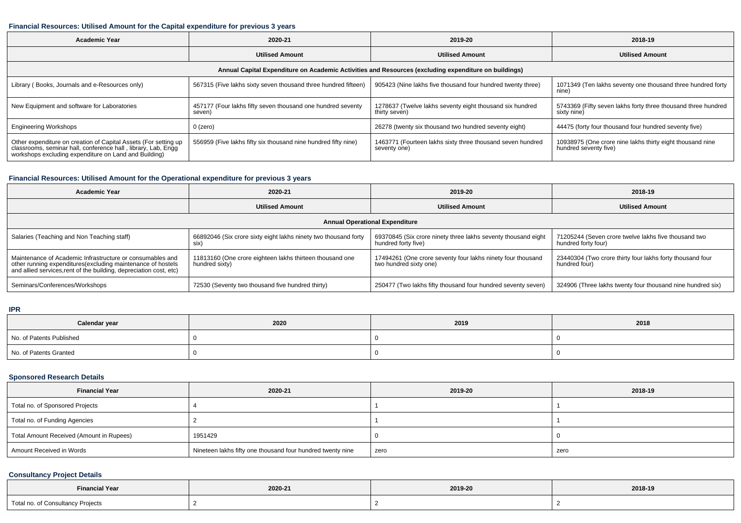### **Financial Resources: Utilised Amount for the Capital expenditure for previous 3 years**

| <b>Academic Year</b>                                                                                                                                                                      | 2020-21                                                               | 2019-20                                                                    | 2018-19                                                                            |  |  |  |  |  |  |
|-------------------------------------------------------------------------------------------------------------------------------------------------------------------------------------------|-----------------------------------------------------------------------|----------------------------------------------------------------------------|------------------------------------------------------------------------------------|--|--|--|--|--|--|
|                                                                                                                                                                                           | <b>Utilised Amount</b>                                                | <b>Utilised Amount</b>                                                     | <b>Utilised Amount</b>                                                             |  |  |  |  |  |  |
| Annual Capital Expenditure on Academic Activities and Resources (excluding expenditure on buildings)                                                                                      |                                                                       |                                                                            |                                                                                    |  |  |  |  |  |  |
| Library (Books, Journals and e-Resources only)                                                                                                                                            | 567315 (Five lakhs sixty seven thousand three hundred fifteen)        | 905423 (Nine lakhs five thousand four hundred twenty three)                | 1071349 (Ten lakhs seventy one thousand three hundred forty<br>nine)               |  |  |  |  |  |  |
| New Equipment and software for Laboratories                                                                                                                                               | 457177 (Four lakhs fifty seven thousand one hundred seventy<br>seven) | 1278637 (Twelve lakhs seventy eight thousand six hundred<br>thirty seven)  | 5743369 (Fifty seven lakhs forty three thousand three hundred<br>sixty nine)       |  |  |  |  |  |  |
| <b>Engineering Workshops</b>                                                                                                                                                              | 0 (zero)                                                              | 26278 (twenty six thousand two hundred seventy eight)                      | 44475 (forty four thousand four hundred seventy five)                              |  |  |  |  |  |  |
| Other expenditure on creation of Capital Assets (For setting up<br>classrooms, seminar hall, conference hall, library, Lab, Engg<br>workshops excluding expenditure on Land and Building) | 556959 (Five lakhs fifty six thousand nine hundred fifty nine)        | 1463771 (Fourteen lakhs sixty three thousand seven hundred<br>seventy one) | 10938975 (One crore nine lakhs thirty eight thousand nine<br>hundred seventy five) |  |  |  |  |  |  |

### **Financial Resources: Utilised Amount for the Operational expenditure for previous 3 years**

| <b>Academic Year</b>                                                                                                                                                                            | 2020-21<br>2019-20                                                            |                                                                                       | 2018-19                                                                     |  |  |  |  |  |
|-------------------------------------------------------------------------------------------------------------------------------------------------------------------------------------------------|-------------------------------------------------------------------------------|---------------------------------------------------------------------------------------|-----------------------------------------------------------------------------|--|--|--|--|--|
|                                                                                                                                                                                                 | <b>Utilised Amount</b>                                                        | <b>Utilised Amount</b>                                                                | <b>Utilised Amount</b>                                                      |  |  |  |  |  |
| <b>Annual Operational Expenditure</b>                                                                                                                                                           |                                                                               |                                                                                       |                                                                             |  |  |  |  |  |
| Salaries (Teaching and Non Teaching staff)                                                                                                                                                      | 66892046 (Six crore sixty eight lakhs ninety two thousand forty<br><b>SIX</b> | 69370845 (Six crore ninety three lakhs seventy thousand eight<br>hundred forty five)  | 71205244 (Seven crore twelve lakhs five thousand two<br>hundred forty four) |  |  |  |  |  |
| Maintenance of Academic Infrastructure or consumables and<br>other running expenditures (excluding maintenance of hostels<br>and allied services, rent of the building, depreciation cost, etc) | 11813160 (One crore eighteen lakhs thirteen thousand one<br>hundred sixty)    | 17494261 (One crore seventy four lakhs ninety four thousand<br>two hundred sixty one) | 23440304 (Two crore thirty four lakhs forty thousand four<br>hundred four)  |  |  |  |  |  |
| Seminars/Conferences/Workshops                                                                                                                                                                  | 72530 (Seventy two thousand five hundred thirty)                              | 250477 (Two lakhs fifty thousand four hundred seventy seven)                          | 324906 (Three lakhs twenty four thousand nine hundred six)                  |  |  |  |  |  |

#### **IPR**

| Calendar year            | 2020 | 2019 | 2018 |
|--------------------------|------|------|------|
| No. of Patents Published |      |      |      |
| No. of Patents Granted   |      |      |      |

### **Sponsored Research Details**

| <b>Financial Year</b>                    | 2020-21                                                    | 2019-20 | 2018-19 |
|------------------------------------------|------------------------------------------------------------|---------|---------|
| Total no. of Sponsored Projects          |                                                            |         |         |
| Total no. of Funding Agencies            |                                                            |         |         |
| Total Amount Received (Amount in Rupees) | 1951429                                                    |         |         |
| Amount Received in Words                 | Nineteen lakhs fifty one thousand four hundred twenty nine | zero    | zero    |

## **Consultancy Project Details**

| <b>Financial Year</b>             | 2020-21 | 2019-20 | 2018-19 |
|-----------------------------------|---------|---------|---------|
| Total no. of Consultancy Projects |         |         |         |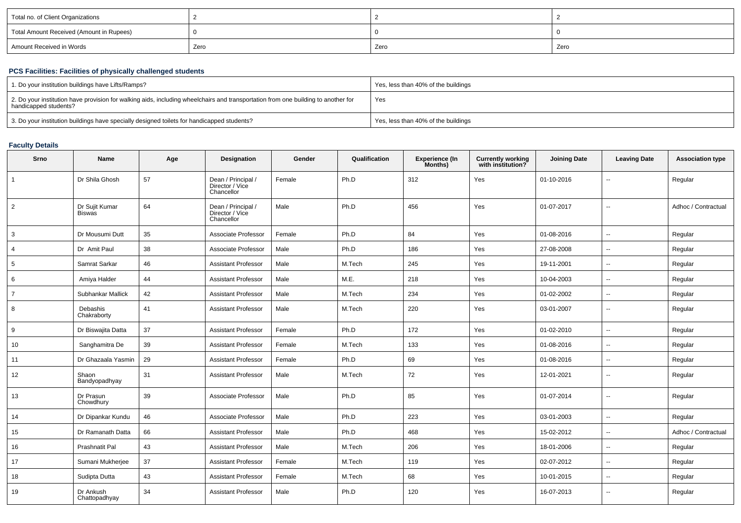| Total no. of Client Organizations        |      |      |      |
|------------------------------------------|------|------|------|
| Total Amount Received (Amount in Rupees) |      |      |      |
| Amount Received in Words                 | Zero | Zero | Zero |

## **PCS Facilities: Facilities of physically challenged students**

| 1. Do your institution buildings have Lifts/Ramps?                                                                                                         | Yes, less than 40% of the buildings |
|------------------------------------------------------------------------------------------------------------------------------------------------------------|-------------------------------------|
| 2. Do your institution have provision for walking aids, including wheelchairs and transportation from one building to another for<br>handicapped students? | Yes                                 |
| 3. Do your institution buildings have specially designed toilets for handicapped students?                                                                 | Yes, less than 40% of the buildings |

## **Faculty Details**

| Srno           | Name                            | Age | Designation                                         | Gender | Qualification | <b>Experience (In</b><br>Months) | <b>Currently working</b><br>with institution? | <b>Joining Date</b> | <b>Leaving Date</b>      | <b>Association type</b> |
|----------------|---------------------------------|-----|-----------------------------------------------------|--------|---------------|----------------------------------|-----------------------------------------------|---------------------|--------------------------|-------------------------|
| $\overline{1}$ | Dr Shila Ghosh                  | 57  | Dean / Principal /<br>Director / Vice<br>Chancellor | Female | Ph.D          | 312                              | Yes                                           | 01-10-2016          | $\overline{\phantom{a}}$ | Regular                 |
| 2              | Dr Sujit Kumar<br><b>Biswas</b> | 64  | Dean / Principal /<br>Director / Vice<br>Chancellor | Male   | Ph.D          | 456                              | Yes                                           | 01-07-2017          | ц.                       | Adhoc / Contractual     |
| 3              | Dr Mousumi Dutt                 | 35  | Associate Professor                                 | Female | Ph.D          | 84                               | Yes                                           | 01-08-2016          | $\overline{\phantom{a}}$ | Regular                 |
| $\overline{4}$ | Dr Amit Paul                    | 38  | Associate Professor                                 | Male   | Ph.D          | 186                              | Yes                                           | 27-08-2008          | $\overline{\phantom{a}}$ | Regular                 |
| 5              | Samrat Sarkar                   | 46  | <b>Assistant Professor</b>                          | Male   | M.Tech        | 245                              | Yes                                           | 19-11-2001          | $\overline{\phantom{a}}$ | Regular                 |
| 6              | Amiya Halder                    | 44  | <b>Assistant Professor</b>                          | Male   | M.E.          | 218                              | Yes                                           | 10-04-2003          | $\overline{\phantom{a}}$ | Regular                 |
| $\overline{7}$ | Subhankar Mallick               | 42  | <b>Assistant Professor</b>                          | Male   | M.Tech        | 234                              | Yes                                           | 01-02-2002          | $\overline{\phantom{a}}$ | Regular                 |
| 8              | Debashis<br>Chakraborty         | 41  | <b>Assistant Professor</b>                          | Male   | M.Tech        | 220                              | Yes                                           | 03-01-2007          | $\overline{\phantom{a}}$ | Regular                 |
| 9              | Dr Biswajita Datta              | 37  | <b>Assistant Professor</b>                          | Female | Ph.D          | 172                              | Yes                                           | 01-02-2010          | $\overline{\phantom{a}}$ | Regular                 |
| 10             | Sanghamitra De                  | 39  | <b>Assistant Professor</b>                          | Female | M.Tech        | 133                              | Yes                                           | 01-08-2016          | $\overline{\phantom{a}}$ | Regular                 |
| 11             | Dr Ghazaala Yasmin              | 29  | <b>Assistant Professor</b>                          | Female | Ph.D          | 69                               | Yes                                           | 01-08-2016          | $\overline{\phantom{a}}$ | Regular                 |
| 12             | Shaon<br>Bandyopadhyay          | 31  | <b>Assistant Professor</b>                          | Male   | M.Tech        | 72                               | Yes                                           | 12-01-2021          | $\sim$                   | Regular                 |
| 13             | Dr Prasun<br>Chowdhury          | 39  | Associate Professor                                 | Male   | Ph.D          | 85                               | Yes                                           | 01-07-2014          | $\overline{\phantom{a}}$ | Regular                 |
| 14             | Dr Dipankar Kundu               | 46  | Associate Professor                                 | Male   | Ph.D          | 223                              | Yes                                           | 03-01-2003          | $\overline{\phantom{a}}$ | Regular                 |
| 15             | Dr Ramanath Datta               | 66  | <b>Assistant Professor</b>                          | Male   | Ph.D          | 468                              | Yes                                           | 15-02-2012          | $\overline{\phantom{a}}$ | Adhoc / Contractual     |
| 16             | Prashnatit Pal                  | 43  | <b>Assistant Professor</b>                          | Male   | M.Tech        | 206                              | Yes                                           | 18-01-2006          | $\overline{\phantom{a}}$ | Regular                 |
| 17             | Sumani Mukherjee                | 37  | <b>Assistant Professor</b>                          | Female | M.Tech        | 119                              | Yes                                           | 02-07-2012          | $\overline{a}$           | Regular                 |
| 18             | Sudipta Dutta                   | 43  | <b>Assistant Professor</b>                          | Female | M.Tech        | 68                               | Yes                                           | 10-01-2015          | $\overline{\phantom{a}}$ | Regular                 |
| 19             | Dr Ankush<br>Chattopadhyay      | 34  | <b>Assistant Professor</b>                          | Male   | Ph.D          | 120                              | Yes                                           | 16-07-2013          | $\overline{\phantom{a}}$ | Regular                 |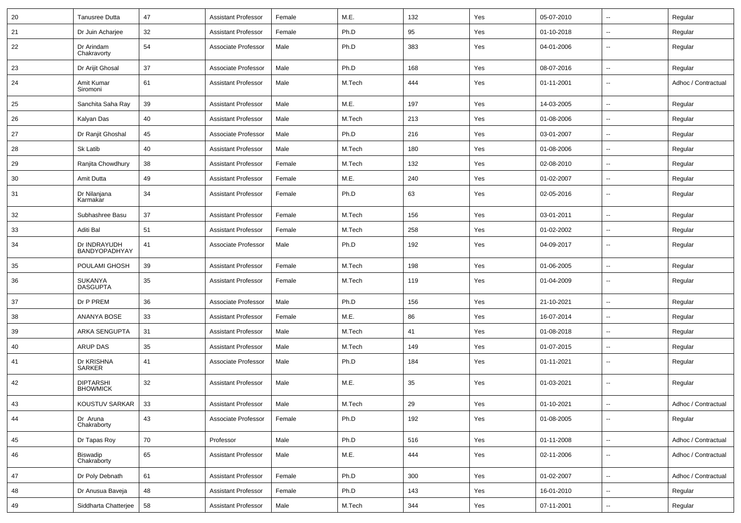| 20 | <b>Tanusree Dutta</b>               | 47 | <b>Assistant Professor</b> | Female | M.E.   | 132 | Yes | 05-07-2010 | $\overline{\phantom{a}}$ | Regular             |
|----|-------------------------------------|----|----------------------------|--------|--------|-----|-----|------------|--------------------------|---------------------|
| 21 | Dr Juin Acharjee                    | 32 | <b>Assistant Professor</b> | Female | Ph.D   | 95  | Yes | 01-10-2018 | $\overline{\phantom{a}}$ | Regular             |
| 22 | Dr Arindam<br>Chakravorty           | 54 | Associate Professor        | Male   | Ph.D   | 383 | Yes | 04-01-2006 | $\overline{\phantom{a}}$ | Regular             |
| 23 | Dr Arijit Ghosal                    | 37 | Associate Professor        | Male   | Ph.D   | 168 | Yes | 08-07-2016 | $\overline{\phantom{a}}$ | Regular             |
| 24 | Amit Kumar<br>Siromoni              | 61 | <b>Assistant Professor</b> | Male   | M.Tech | 444 | Yes | 01-11-2001 | $\overline{\phantom{a}}$ | Adhoc / Contractual |
| 25 | Sanchita Saha Ray                   | 39 | <b>Assistant Professor</b> | Male   | M.E.   | 197 | Yes | 14-03-2005 | $\overline{\phantom{a}}$ | Regular             |
| 26 | Kalyan Das                          | 40 | <b>Assistant Professor</b> | Male   | M.Tech | 213 | Yes | 01-08-2006 | $\overline{\phantom{a}}$ | Regular             |
| 27 | Dr Ranjit Ghoshal                   | 45 | Associate Professor        | Male   | Ph.D   | 216 | Yes | 03-01-2007 | $\overline{\phantom{a}}$ | Regular             |
| 28 | Sk Latib                            | 40 | <b>Assistant Professor</b> | Male   | M.Tech | 180 | Yes | 01-08-2006 | --                       | Regular             |
| 29 | Ranjita Chowdhury                   | 38 | <b>Assistant Professor</b> | Female | M.Tech | 132 | Yes | 02-08-2010 | $\overline{\phantom{a}}$ | Regular             |
| 30 | Amit Dutta                          | 49 | <b>Assistant Professor</b> | Female | M.E.   | 240 | Yes | 01-02-2007 | $\overline{\phantom{a}}$ | Regular             |
| 31 | Dr Nilanjana<br>Karmakar            | 34 | <b>Assistant Professor</b> | Female | Ph.D   | 63  | Yes | 02-05-2016 | $\overline{\phantom{a}}$ | Regular             |
| 32 | Subhashree Basu                     | 37 | <b>Assistant Professor</b> | Female | M.Tech | 156 | Yes | 03-01-2011 | $\overline{\phantom{a}}$ | Regular             |
| 33 | Aditi Bal                           | 51 | <b>Assistant Professor</b> | Female | M.Tech | 258 | Yes | 01-02-2002 | $\overline{\phantom{a}}$ | Regular             |
| 34 | Dr INDRAYUDH<br>BANDYOPADHYAY       | 41 | Associate Professor        | Male   | Ph.D   | 192 | Yes | 04-09-2017 | $\overline{\phantom{a}}$ | Regular             |
| 35 | POULAMI GHOSH                       | 39 | <b>Assistant Professor</b> | Female | M.Tech | 198 | Yes | 01-06-2005 | $\overline{\phantom{a}}$ | Regular             |
| 36 | <b>SUKANYA</b><br><b>DASGUPTA</b>   | 35 | <b>Assistant Professor</b> | Female | M.Tech | 119 | Yes | 01-04-2009 | $\overline{\phantom{a}}$ | Regular             |
| 37 | Dr P PREM                           | 36 | Associate Professor        | Male   | Ph.D   | 156 | Yes | 21-10-2021 | $\overline{\phantom{a}}$ | Regular             |
| 38 | <b>ANANYA BOSE</b>                  | 33 | <b>Assistant Professor</b> | Female | M.E.   | 86  | Yes | 16-07-2014 | $\overline{\phantom{a}}$ | Regular             |
| 39 | <b>ARKA SENGUPTA</b>                | 31 | <b>Assistant Professor</b> | Male   | M.Tech | 41  | Yes | 01-08-2018 | $\overline{\phantom{a}}$ | Regular             |
| 40 | <b>ARUP DAS</b>                     | 35 | <b>Assistant Professor</b> | Male   | M.Tech | 149 | Yes | 01-07-2015 | --                       | Regular             |
| 41 | Dr KRISHNA<br><b>SARKER</b>         | 41 | Associate Professor        | Male   | Ph.D   | 184 | Yes | 01-11-2021 | $\overline{\phantom{a}}$ | Regular             |
| 42 | <b>DIPTARSHI</b><br><b>BHOWMICK</b> | 32 | <b>Assistant Professor</b> | Male   | M.E.   | 35  | Yes | 01-03-2021 | $\overline{\phantom{a}}$ | Regular             |
| 43 | KOUSTUV SARKAR                      | 33 | Assistant Professor        | Male   | M.Tech | 29  | Yes | 01-10-2021 |                          | Adhoc / Contractual |
| 44 | Dr Aruna<br>Chakraborty             | 43 | Associate Professor        | Female | Ph.D   | 192 | Yes | 01-08-2005 | $\overline{\phantom{a}}$ | Regular             |
| 45 | Dr Tapas Roy                        | 70 | Professor                  | Male   | Ph.D   | 516 | Yes | 01-11-2008 | $\overline{\phantom{a}}$ | Adhoc / Contractual |
| 46 | Biswadip<br>Chakraborty             | 65 | <b>Assistant Professor</b> | Male   | M.E.   | 444 | Yes | 02-11-2006 | Щ,                       | Adhoc / Contractual |
| 47 | Dr Poly Debnath                     | 61 | <b>Assistant Professor</b> | Female | Ph.D   | 300 | Yes | 01-02-2007 | $\overline{\phantom{a}}$ | Adhoc / Contractual |
| 48 | Dr Anusua Baveja                    | 48 | Assistant Professor        | Female | Ph.D   | 143 | Yes | 16-01-2010 | Щ,                       | Regular             |
| 49 | Siddharta Chatterjee                | 58 | Assistant Professor        | Male   | M.Tech | 344 | Yes | 07-11-2001 | $\overline{\phantom{a}}$ | Regular             |